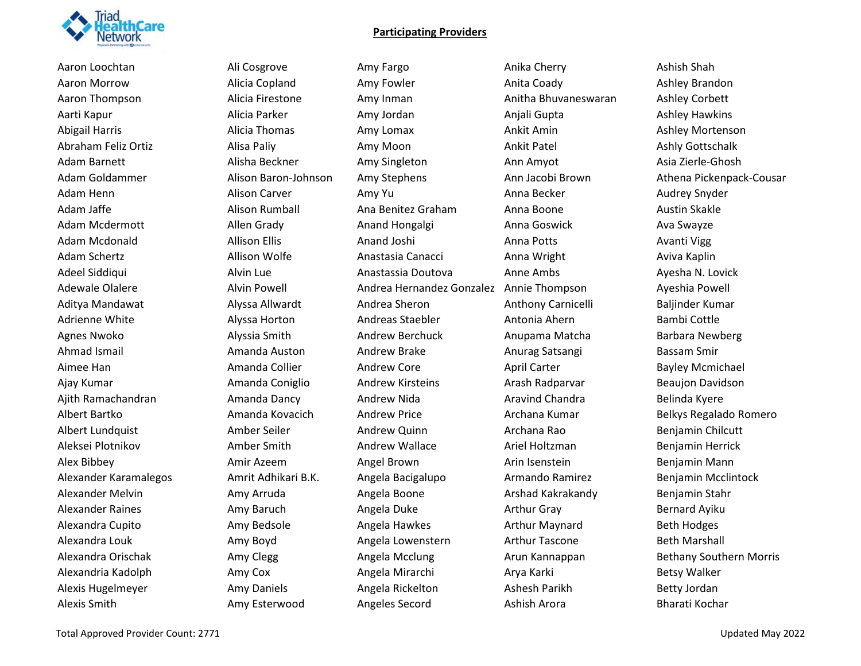

Aaron Loochtan **Ali Cosgrove** Amy Fargo Amy Harandan Anika Cherry Ashish Shah Aaron Morrow **Alicia Copland** Amy Fowler Amy Howler Anita Coady Ashley Brandon Aaron Thompson Alicia Firestone Amy Inman Anitha Bhuvaneswaran Ashley Corbett Aarti Kapur **Alicia Parker Amy Jordan Amy Anjali Gupta** Anjali Gupta Ashley Hawkins Abigail Harris **Alicia Thomas** Amy Lomax Amus Ankit Amin Ashley Mortenson Abraham Feliz Ortiz Alisa Paliy Amy Moon Ankit Patel Ashly Gottschalk Adam Barnett Alisha Beckner Amy Singleton Ann Amyot Asia Zierle-Ghosh Adam Henn **Alison Carver** Amy Yu Anna Becker Anna Hecker Audrey Snyder Adam Jaffe Alison Rumball Ana Benitez Graham Anna Boone Austin Skakle Adam Mcdermott **Allen Grady** Anand Hongalgi Anna Goswick Ava Swayze Adam Mcdonald Allison Ellis Anand Joshi Anna Potts Avanti Vigg Adam Schertz Allison Wolfe Anastasia Canacci Anna Wright Aviva Kaplin Adeel Siddiqui Alvin Lue Anastassia Doutova Anne Ambs Ayesha N. Lovick Adewale Olalere Alvin Powell Andrea Hernandez Gonzalez Annie Thompson Ayeshia Powell Aditya Mandawat Alyssa Allwardt Andrea Sheron Anthony Carnicelli Baljinder Kumar Adrienne White **Alyssa Horton** Andreas Staebler Antonia Ahern Bambi Cottle Agnes Nwoko Alyssia Smith Andrew Berchuck Anupama Matcha Barbara Newberg Ahmad Ismail **Amanda Auston** Andrew Brake **Anurag Satsangi** Bassam Smir Aimee Han **Annanda Collier** Andrew Core April Carter **April Carter Bayley Mcmichael** Ajay Kumar **Amanda Coniglio** Andrew Kirsteins Arash Radparvar Beaujon Davidson Ajith Ramachandran Amanda Dancy Andrew Nida Aravind Chandra Belinda Kyere Albert Bartko Amanda Kovacich Andrew Price Archana Kumar Belkys Regalado Romero Albert Lundquist Amber Seiler Andrew Quinn Archana Rao Benjamin Chilcutt Aleksei Plotnikov Amber Smith Andrew Wallace Ariel Holtzman Benjamin Herrick Alex Bibbey **AMIL Angel Brown** Angel Brown Arin Isenstein Benjamin Mann Alexander Karamalegos Amrit Adhikari B.K. Angela Bacigalupo Armando Ramirez Benjamin Mcclintock Alexander Melvin Amy Arruda Angela Boone Arshad Kakrakandy Benjamin Stahr Alexander Raines **Amy Baruch** Amy Baruch Angela Duke Arthur Gray Arthur Gray Bernard Ayiku Alexandra Cupito **Amy Bedsole Amy Bedsole** Angela Hawkes **Arthur Maynard** Beth Hodges Alexandra Louk Amy Boyd Angela Lowenstern Arthur Tascone Beth Marshall Alexandria Kadolph Amy Cox Angela Mirarchi Arya Karki Betsy Walker Alexis Hugelmeyer **Amy Daniels** Angela Rickelton Ashesh Parikh Betty Jordan Ashesh Parikh Betty Jordan Alexis Smith **Amy Esterwood** Angeles Secord Ashish Arora **Ashish Arora** Bharati Kochar

Adam Goldammer Alison Baron-Johnson Amy Stephens Ann Jacobi Brown Athena Pickenpack-Cousar Alexandra Orischak Amy Clegg Angela Mcclung Arun Kannappan Bethany Southern Morris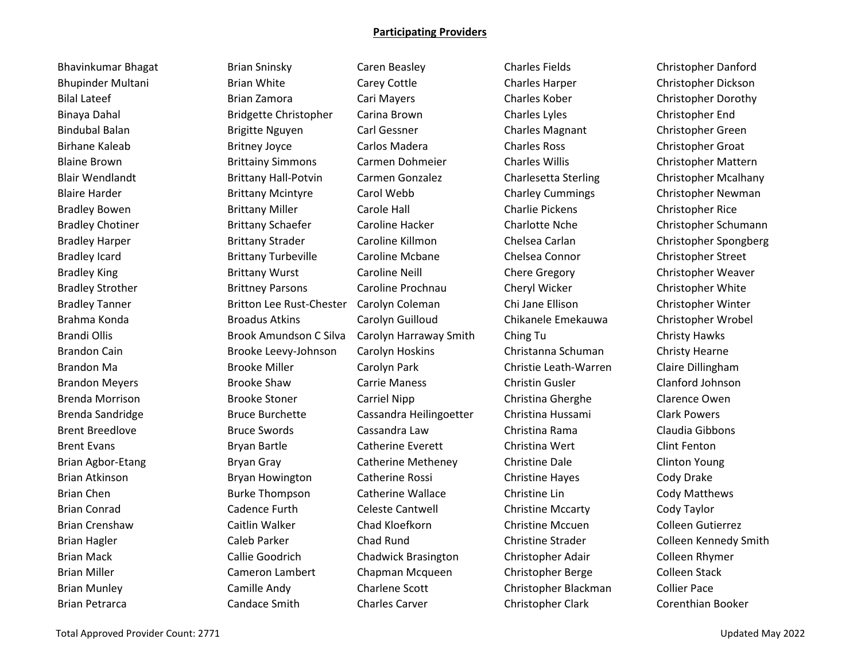Bhavinkumar Bhagat Brian Sninsky Caren Beasley Charles Fields Christopher Danford Bhupinder Multani Brian White Carey Cottle Charles Harper Christopher Dickson Bilal Lateef **Brian Zamora** Cari Mayers Charles Kober Charles Kober Christopher Dorothy Binaya Dahal **Bridgette Christopher** Carina Brown Charles Lyles Christopher End Bindubal Balan Brigitte Nguyen Carl Gessner Charles Magnant Christopher Green Birhane Kaleab **Britney Joyce** Carlos Madera Charles Ross Christopher Groat Blaine Brown Brittainy Simmons Carmen Dohmeier Charles Willis Christopher Mattern Blair Wendlandt **Brittany Hall-Potvin** Carmen Gonzalez Charlesetta Sterling Christopher Mcalhany Blaire Harder **Brittany Mcintyre** Carol Webb Charley Cummings Christopher Newman Bradley Bowen **Brittany Miller** Carole Hall Charlie Pickens Christopher Rice Bradley Icard **Brittany Turbeville** Caroline Mcbane Chelsea Connor Christopher Street Bradley King The Brittany Wurst Caroline Neill Chere Gregory Christopher Weaver Bradley Strother **Brittney Parsons** Caroline Prochnau Cheryl Wicker Christopher White Bradley Tanner **Britton Lee Rust-Chester Carolyn Coleman** Chi Jane Ellison Christopher Winter Brahma Konda Broadus Atkins Carolyn Guilloud Chikanele Emekauwa Christopher Wrobel Brandi Ollis **Brook Amundson C Silva** Carolyn Harraway Smith Ching Tu Ching Christy Hawks Brandon Cain **Brooke Leevy-Johnson** Carolyn Hoskins Christanna Schuman Christy Hearne Brandon Ma Brooke Miller Carolyn Park Christie Leath-Warren Claire Dillingham Brandon Meyers **Brooke Shaw** Carrie Maness Christin Gusler Clanford Johnson Brenda Morrison **Brooke Stoner** Carriel Nipp Christina Gherghe Clarence Owen Brenda Sandridge **Bruce Burchette** Cassandra Heilingoetter Christina Hussami Clark Powers Brent Breedlove **Bruce Swords** Cassandra Law Christina Rama Claudia Gibbons Brent Evans **Example 20 Example 20 Example 20 Example 20 Example 20 Example 20 Example 20 Example 20 Example 20** Brian Agbor-Etang Theory Bryan Gray Catherine Metheney Christine Dale Clinton Young Brian Atkinson **Bryan Howington** Catherine Rossi Christine Hayes Cody Drake Brian Chen **Burke Thompson** Catherine Wallace Christine Lin Cody Matthews Brian Conrad Cadence Furth Celeste Cantwell Christine Mccarty Cody Taylor Brian Crenshaw **Caitlin Walker** Chad Kloefkorn Christine Mccuen Colleen Gutierrez Brian Mack Callie Goodrich Chadwick Brasington Christopher Adair Colleen Rhymer Brian Miller Cameron Lambert Chapman Mcqueen Christopher Berge Colleen Stack Brian Munley Camille Andy Charlene Scott Christopher Blackman Collier Pace

Brian Petrarca Candace Smith Charles Carver Christopher Clark Corenthian Booker

Bradley Chotiner **Brittany Schaefer** Caroline Hacker Charlotte Nche Christopher Schumann Bradley Harper **Brittany Strader** Caroline Killmon Chelsea Carlan Christopher Spongberg Brian Hagler **Caleb Parker** Chad Rund Chad Rund Christine Strader Colleen Kennedy Smith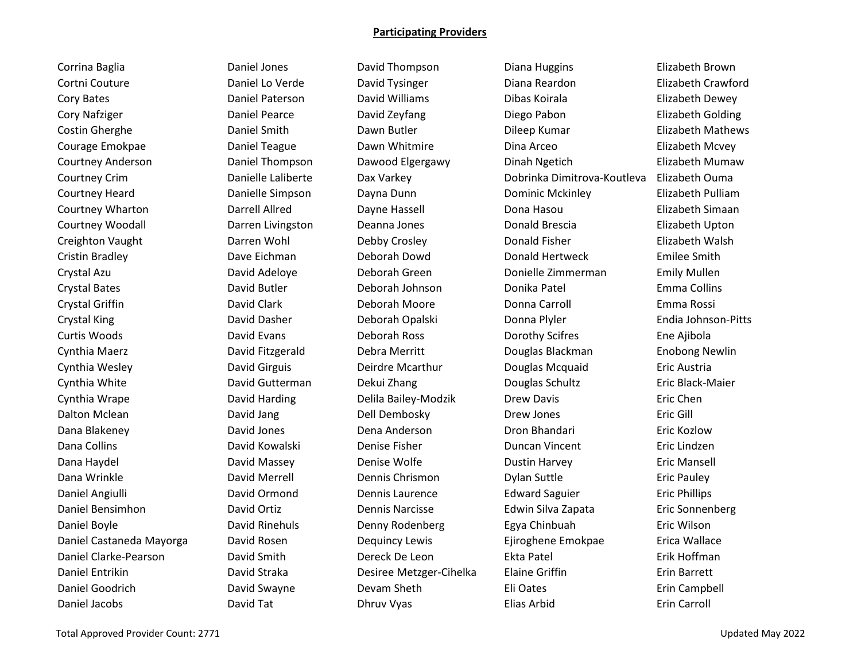Cortni Couture **Container Couture** Daniel Lo Verde **Container David Tysinger** Diana Reardon **Couture** Elizabeth Crawford Cory Bates **Calcul Cory Bates Constructs** David Williams **Cory Bates Constructs Constructs** Elizabeth Dewey Cory Nafziger Daniel Pearce David Zeyfang Diego Pabon Elizabeth Golding Costin Gherghe **Come Come Constructs** Daniel Smith Dawn Butler **Constructs Dileep Kumar** Costin Gherghe Elizabeth Mathews Courage Emokpae Daniel Teague Dawn Whitmire Dina Arceo Elizabeth Mcvey Courtney Anderson Daniel Thompson Dawood Elgergawy Dinah Ngetich Elizabeth Mumaw Courtney Crim Danielle Laliberte Dax Varkey Dobrinka Dimitrova-Koutleva Elizabeth Ouma Courtney Heard Danielle Simpson Dayna Dunn Dominic Mckinley Elizabeth Pulliam Courtney Wharton Darrell Allred Dayne Hassell Dona Hasou Elizabeth Simaan Courtney Woodall Darren Livingston Deanna Jones Donald Brescia Elizabeth Upton Creighton Vaught Darren Wohl Debby Crosley Donald Fisher Elizabeth Walsh Cristin Bradley **Canada Cristin Bradley** Dave Eichman **Deborah Dowd** Donald Hertweck **Constant Donald Hertweck** Emilee Smith Crystal Azu David Adeloye Deborah Green Donielle Zimmerman Emily Mullen Crystal Bates **Character Controller Controller Controller** Deborah Johnson **Conica Donika Patel Controller Emma Collins** Crystal Griffin **Chrystal Character Chrystal Carroll** Crystal Griffin Emma Rossi Crystal King David Dasher Deborah Opalski Donna Plyler Endia Johnson-Pitts Curtis Woods David Evans Deborah Ross Dorothy Scifres Ene Ajibola Cynthia Maerz David Fitzgerald Debra Merritt Douglas Blackman Enobong Newlin Cynthia Wesley David Girguis Deirdre Mcarthur Douglas Mcquaid Eric Austria Cynthia White **Character Contract Contractes Contractes Contractes Contractes Contractes Contractes Contractes C** Cynthia Wrape David Harding Delila Bailey-Modzik Drew Davis Eric Chen Dalton Mclean **David Jang** Dell Dembosky **Dell Dembosky** Drew Jones Eric Gill Dana Blakeney **David Jones** Dena Anderson Dena Dom Bhandari **Eric Kozlow** Dana Collins **Collins Collins David Kowalski** Denise Fisher **Colling Colling Colling Colling** Eric Lindzen Dana Haydel **Dana David Massey Comey Denise Wolfe Comey Constant Dustin Harvey Comey Constant Constant** Eric Mansell Dana Wrinkle **Natu Constructs Chrismon** Dennis Chrismon **Dylan Suttle Chrismon** Dylan Suttle Eric Pauley Daniel Angiulli **Chann Charlot Channach Channach Chann** Dennis Laurence **Channach Edward Saguier** Eric Phillips Daniel Bensimhon David Ortiz Dennis Narcisse Edwin Silva Zapata Eric Sonnenberg Daniel Boyle David Rinehuls Denny Rodenberg Egya Chinbuah Eric Wilson Daniel Castaneda Mayorga David Rosen Dequincy Lewis Ejiroghene Emokpae Erica Wallace Daniel Clarke-Pearson David Smith Dereck De Leon Ekta Patel Erik Hoffman Daniel Entrikin David Straka Desiree Metzger-Cihelka Elaine Griffin Erin Barrett Daniel Goodrich **Elimic Coopensis Claudia** David Swayne Devam Sheth **Eli Oates** Eli Oates **Elimic Elimic Campbell** 

Corrina Baglia Daniel Jones David Thompson Diana Huggins Elizabeth Brown

Daniel Jacobs **David Tat** David Tat **Dhruv Vyas** Elias Arbid Erin Carroll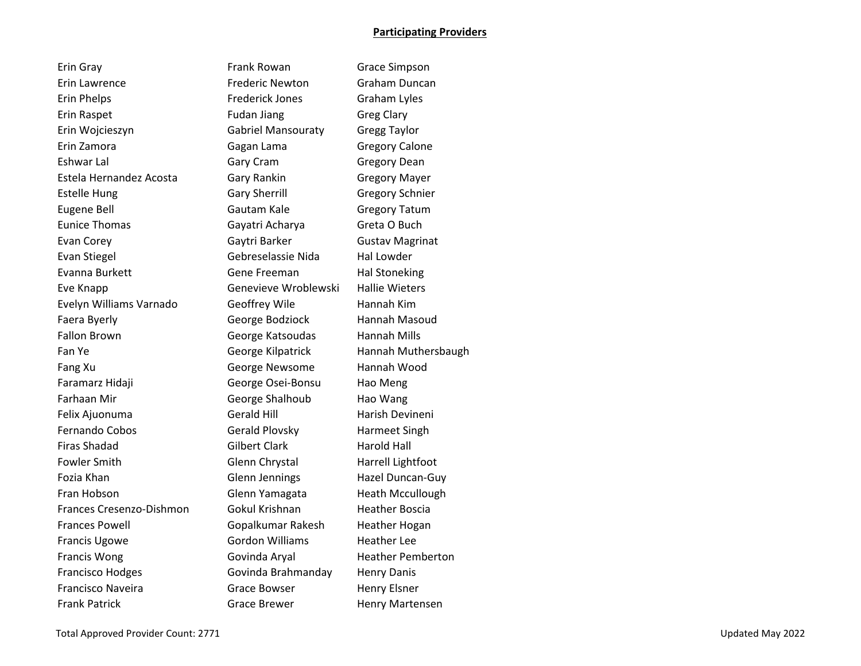| Erin Gray                |
|--------------------------|
| <b>Erin Lawrence</b>     |
| <b>Erin Phelps</b>       |
| Erin Raspet              |
| Erin Wojcieszyn          |
| Erin Zamora              |
| <b>Eshwar Lal</b>        |
| Estela Hernandez Acosta  |
| <b>Estelle Hung</b>      |
| <b>Eugene Bell</b>       |
| <b>Eunice Thomas</b>     |
| <b>Evan Corey</b>        |
| <b>Evan Stiegel</b>      |
| Evanna Burkett           |
| Eve Knapp                |
| Evelyn Williams Varnado  |
| Faera Byerly             |
| <b>Fallon Brown</b>      |
| Fan Ye                   |
| Fang Xu                  |
| Faramarz Hidaji          |
| <b>Farhaan Mir</b>       |
| Felix Ajuonuma           |
| <b>Fernando Cobos</b>    |
| <b>Firas Shadad</b>      |
| <b>Fowler Smith</b>      |
| Fozia Khan               |
| Fran Hobson              |
| Frances Cresenzo-Dishmon |
| <b>Frances Powell</b>    |
| <b>Francis Ugowe</b>     |
| <b>Francis Wong</b>      |
| <b>Francisco Hodges</b>  |
| Francisco Naveira        |
| المتعادلات والمستنقذ     |

Frank Rowan Grace Simpson Frederic Newton Graham Duncan Frederick Jones Graham Lyles Fudan Jiang Greg Clary Gabriel Mansouraty Gregg Taylor Gagan Lama Gregory Calone Gary Cram Gregory Dean Gary Rankin Gregory Mayer Gary Sherrill Gregory Schnier Gautam Kale Gregory Tatum Gayatri Acharya Greta O Buch Gaytri Barker Gustav Magrinat Gebreselassie Nida Hal Lowder Gene Freeman Hal Stoneking Genevieve Wroblewski Hallie Wieters Geoffrey Wile Hannah Kim George Bodziock Hannah Masoud George Katsoudas Hannah Mills George Kilpatrick Hannah Muthersbaugh George Newsome Hannah Wood George Osei-Bonsu Hao Meng George Shalhoub Hao Wang Gerald Hill **Harish Devineni** Gerald Plovsky Harmeet Singh Gilbert Clark Harold Hall Glenn Chrystal Harrell Lightfoot Glenn Jennings Hazel Duncan-Guy Glenn Yamagata **Heath Mccullough** Gokul Krishnan Heather Boscia Gopalkumar Rakesh Heather Hogan Gordon Williams Heather Lee Govinda Aryal **Heather Pemberton** Govinda Brahmanday Henry Danis Grace Bowser **Henry Elsner** Frank Patrick Grace Brewer Henry Martensen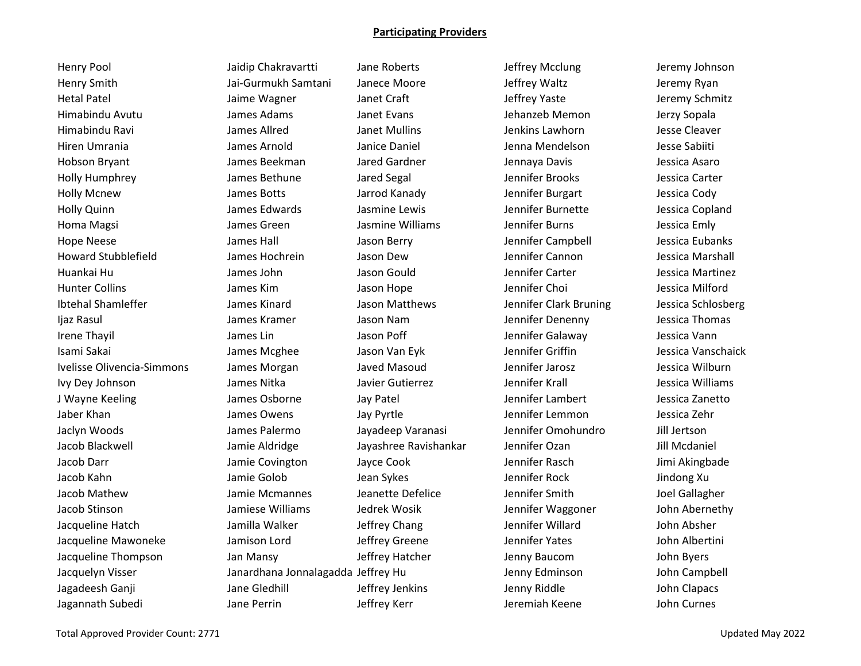Henry Smith Jai-Gurmukh Samtani Janece Moore Jeffrey Waltz Jeremy Ryan Hetal Patel **Acker Hetal Patel Acker Jaime Wagner** Janet Craft **Jeffrey Yaste** Jeremy Schmitz Himabindu Avutu James Adams Janet Evans Jehanzeb Memon Jerzy Sopala Himabindu Ravi James Allred Janet Mullins Jenkins Lawhorn Jesse Cleaver Hiren Umrania *James Arnold* Janice Daniel Janice Daniel Jenna Mendelson Jesse Sabiiti Hobson Bryant James Beekman Jared Gardner Jennaya Davis Jessica Asaro Holly Humphrey James Bethune Jared Segal Jennifer Brooks Jessica Carter Holly Mcnew James Botts Jarrod Kanady Jennifer Burgart Jessica Cody Holly Quinn James Edwards Jasmine Lewis Jennifer Burnette Jessica Copland Homa Magsi New Transies Creen The Jasmine Williams Magnetic Burns Tennifer Burns and Dessica Emly Hope Neese James Hall Jason Berry Jennifer Campbell Jessica Eubanks Howard Stubblefield James Hochrein Jason Dew Jennifer Cannon Jessica Marshall Huankai Hu Number James John Jason Gould Jennifer Carter The Jessica Martinez Hunter Collins James Kim Jason Hope Jennifer Choi Jessica Milford Ibtehal Shamleffer **Stammen James Kinard** Jason Matthews Jennifer Clark Bruning Jessica Schlosberg Ijaz Rasul James Kramer Jason Nam Jennifer Denenny Jessica Thomas Irene Thayil James Lin Jason Poff Jennifer Galaway Jessica Vann Isami Sakai Names Mcghee Jason Van Eyk Jennifer Griffin Nassica Vanschaick Ivelisse Olivencia-Simmons James Morgan Javed Masoud Jennifer Jarosz Jessica Wilburn Ivy Dey Johnson **Matter States States In the State Isle** Javier Gutierrez **Jennifer Krall Matter States In the State** J Wayne Keeling **James Osborne** Jay Patel **Jay Land Communist Cambert** Jessica Zanetto Jaber Khan Names Owens James Owens Jay Pyrtle Naber Khan Jennifer Lemmon Jessica Zehr Jaclyn Woods James Palermo Jayadeep Varanasi Jennifer Omohundro Jill Jertson Jacob Blackwell Jamie Aldridge Jayashree Ravishankar Jennifer Ozan Jill Mcdaniel Jacob Darr Jamie Covington Jayce Cook Jennifer Rasch Jimi Akingbade Jacob Kahn Jamie Golob Jean Sykes Jennifer Rock Jindong Xu Jacob Mathew **South Acker and State Mcmannes** Jeanette Defelice **Jennifer Smith** Joel Gallagher Jacob Stinson Jamiese Williams Jedrek Wosik Jennifer Waggoner John Abernethy Jacqueline Hatch Jamilla Walker Jeffrey Chang Jennifer Willard John Absher Jacqueline Mawoneke Jamison Lord Jeffrey Greene Jennifer Yates John Albertini Jacqueline Thompson Jan Mansy Jeffrey Hatcher Jenny Baucom John Byers Jacquelyn Visser Janardhana Jonnalagadda Jeffrey Hu Jenny Edminson John Campbell Jagadeesh Ganji Jane Gledhill Jeffrey Jenkins Jenny Riddle John Clapacs

Henry Pool **School Chakravartti** Jane Roberts Jeffrey Mcclung Jeremy Johnson

Jagannath Subedi Jane Perrin Jeffrey Kerr Jeremiah Keene John Curnes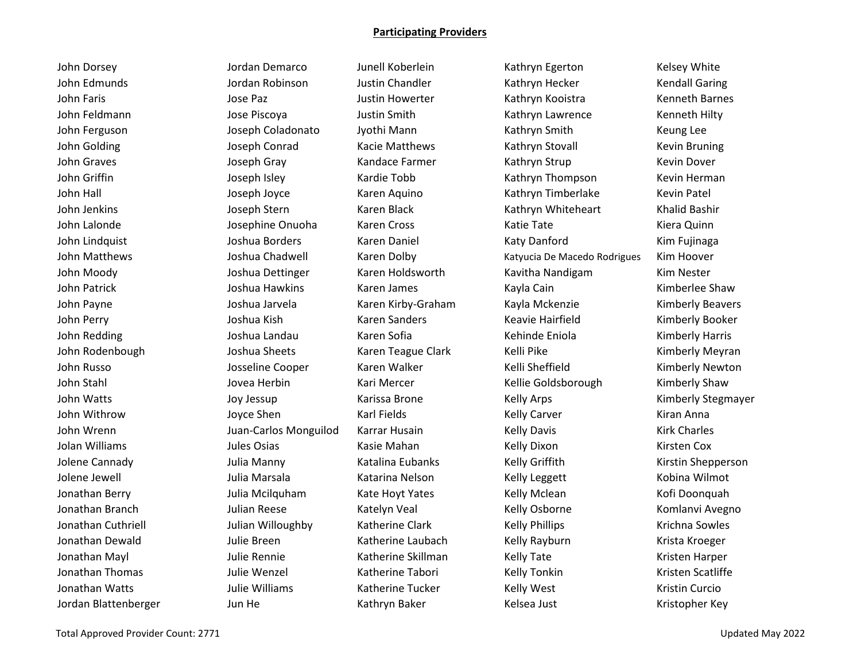John Dorsey Jordan Demarco Junell Koberlein Kathryn Egerton Kelsey White John Edmunds **Gott Chandia And Tordan Robinson** Justin Chandler **Chandia And Kathryn Hecker** Kendall Garing John Faris **Gott Constructs Constructs Constructs** Justin Howerter **Constructs Kenneth Barnes** Kenneth Barnes John Feldmann Jose Piscoya Justin Smith Kathryn Lawrence Kenneth Hilty John Ferguson Joseph Coladonato Jyothi Mann Kathryn Smith Keung Lee John Golding The Stoteph Conrad The Kacie Matthews The Kathryn Stovall The Kevin Bruning John Graves **Gray Construes Construent Construent** Kandace Farmer **Construent Kathryn Strup** Kevin Dover John Griffin **South America Company Isley** Kardie Tobb Kathryn Thompson Kevin Herman John Hall Joseph Joyce Karen Aquino Kathryn Timberlake Kevin Patel John Jenkins Joseph Stern Karen Black Kathryn Whiteheart Khalid Bashir John Lalonde Josephine Onuoha Karen Cross Katie Tate Kiera Quinn John Lindquist **Manuel Constructs Constructs** (Joshua Borders Karen Daniel Katy Danford Katy Danford Kim Fujinaga John Matthews **South Andrews** Joshua Chadwell **Karen Dolby Channes Activation** Katyucia De Macedo Rodrigues Kim Hoover John Moody **Saren Loop And Staten Holdsworth** Karen Holdsworth Kavitha Nandigam Kim Nester John Patrick **Gost And Arms Constructs Constructs** Karen James Kayla Cain Kayla Cain Kimberlee Shaw John Payne Joshua Jarvela Karen Kirby-Graham Kayla Mckenzie Kimberly Beavers John Perry **Gout Amery System State And Accord Control** Keavie Hairfield Kimberly Booker John Redding National Angles Joshua Landau Naren Sofia Kehinde Eniola Kimberly Harris John Rodenbough **Sharets** Joshua Sheets Karen Teague Clark Kelli Pike Kelli Pike Kimberly Meyran John Russo **School Cooper** Karen Walker Kelli Sheffield Kimberly Newton John Stahl **Stahl Mari Adam Jovea Herbin** Kari Mercer Kellie Goldsborough Kimberly Shaw John Watts **South Arrists Arrists** Joy Jessup Karissa Brone Kelly Arps Kelly Arps Kimberly Stegmayer John Withrow Joyce Shen Karl Fields Kelly Carver Kiran Anna John Wrenn **School And Tuan-Carlos Monguilod** Karrar Husain Kelly Davis Kirk Charles Kirk Charles Jolan Williams **Market Communist Communist Communist Communist Communist Communist Communist Communist Communist Com** Jolene Cannady **Samual Accord Contract Contract Contract Contract Contract Contract Contract Contract Accord Shepperson** Jolene Jewell **Gott Chart and State Julia Marsala** Katarina Nelson **Chart Acception Kommunical Kobina Wilmot** Jonathan Berry **Sulta Mcilquham Kate Hoyt Yates** Kelly Mclean Kofi Doonquah Jonathan Branch Julian Reese Katelyn Veal Kelly Osborne Komlanvi Avegno Jonathan Cuthriell **South** Julian Willoughby Katherine Clark Kelly Phillips Krichna Sowles Jonathan Dewald **Gott Chart Contains Controller Breen** Katherine Laubach Kelly Rayburn Krista Kroeger Jonathan Mayl **Sharper And The Rennie** Katherine Skillman Kelly Tate Kristen Harper Jonathan Thomas Sand Andrew Julie Wenzel Netwith Artherine Tabori Kelly Tonkin Scattiffe Kristen Scatliffe Jonathan Watts **Match Contains Active Active Contains** Actherine Tucker **Kelly West** Kristin Curcio Jordan Blattenberger The Jun He The Kathryn Baker Kelsea Just Kristopher Key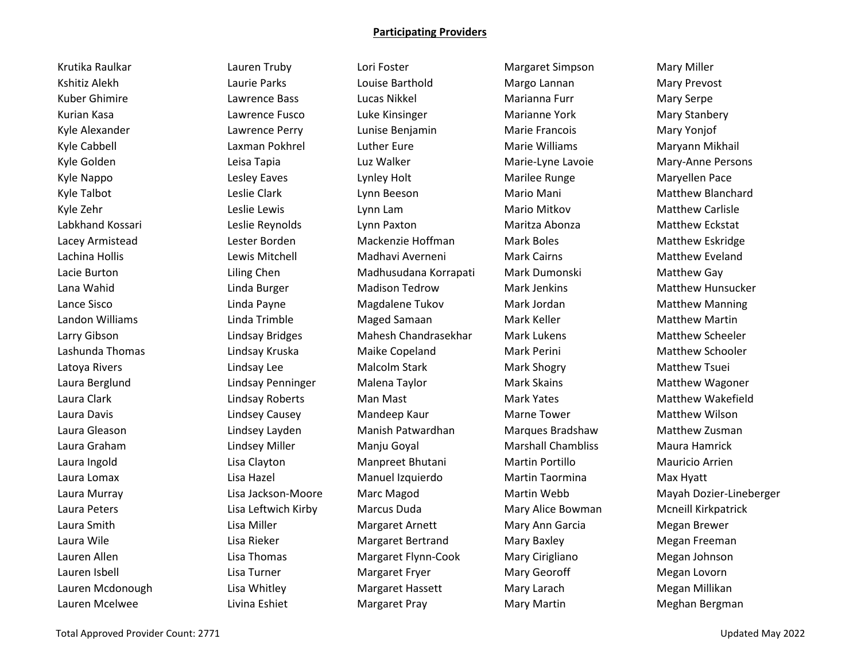Krutika Raulkar Lauren Truby Lori Foster Margaret Simpson Mary Miller

Kshitiz Alekh **Laurie Parks** Louise Barthold Margo Lannan Mary Prevost Kuber Ghimire **Lawrence Bass** Lucas Nikkel Marianna Furr Mary Serpe Kurian Kasa **Lakkit Lawrence Fusco** Luke Kinsinger **Marianne York** Mary Stanbery Kyle Alexander **Lakket Lawrence Perry Computer Benjamin** Marie Francois Mary Yonjof Kyle Cabbell **Laxman Pokhrel** Luther Eure Marie Williams Maryann Mikhail Cabbell Kyle Golden **Leisa Tapia** Leisa Tapia Luz Walker Marie-Lyne Lavoie Mary-Anne Persons Kyle Nappo **Lesley Eaves** Cynley Holt Marilee Runge Maryellen Pace Maryellen Pace Kyle Talbot **Leslie Clark** Leslie Clark Lynn Beeson **Mario Mani** Mario Mani Matthew Blanchard Kyle Zehr **Leslie Lewis** Lynn Lam **Mario Mitkov** Mario Mitkov Matthew Carlisle Labkhand Kossari Leslie Reynolds Lynn Paxton Maritza Abonza Matthew Eckstat Lacey Armistead Lester Borden Mackenzie Hoffman Mark Boles Matthew Eskridge Lachina Hollis Lewis Mitchell Madhavi Averneni Mark Cairns Matthew Eveland Lacie Burton Liling Chen Madhusudana Korrapati Mark Dumonski Matthew Gay Lana Wahid **Linda Burger** Madison Tedrow Mark Jenkins Matthew Hunsucker Lance Sisco **Linda Payne** Magdalene Tukov Mark Jordan Matthew Manning Landon Williams **Maged Samaan** Maged Samaan Mark Keller Marthew Matthew Martin Larry Gibson **Lindsay Bridges** Mahesh Chandrasekhar Mark Lukens Matthew Scheeler Lashunda Thomas **Manum Character Comaike Copeland** Mark Perini Mark Perini Matthew Schooler Latoya Rivers **Lindsay Lee** Malcolm Stark Mark Shogry Mark Mark Matthew Tsuei Laura Berglund Lindsay Penninger Malena Taylor Mark Skains Matthew Wagoner Laura Clark **Lindsay Roberts** Man Mast Mark Yates Mark Yates Matthew Wakefield Laura Davis **Lindsey Causey** Mandeep Kaur Marne Tower Maris Matthew Wilson Laura Gleason Lindsey Layden Manish Patwardhan Marques Bradshaw Matthew Zusman Laura Graham Lindsey Miller Manju Goyal Marshall Chambliss Maura Hamrick Laura Ingold Lisa Clayton Manpreet Bhutani Martin Portillo Mauricio Arrien Laura Lomax Lisa Hazel Manuel Izquierdo Martin Taormina Max Hyatt Laura Peters Lisa Leftwich Kirby Marcus Duda Mary Alice Bowman Mcneill Kirkpatrick Laura Smith **Lisa Miller** Margaret Arnett Mary Ann Garcia Megan Brewer Laura Wile **Lisa Rieker** Margaret Bertrand Mary Baxley Megan Freeman Lauren Allen Lisa Thomas Margaret Flynn-Cook Mary Cirigliano Megan Johnson Lauren Isbell **Lisa Turner** Communicated Fryer Margaret Fryer Mary Georoff **Megan Lovorn** Megan Lovorn Lauren Mcdonough Lisa Whitley Margaret Hassett Mary Larach Megan Millikan Lauren Mcelwee Livina Eshiet Margaret Pray Mary Martin Meghan Bergman

Laura Murray Lisa Jackson-Moore Marc Magod Martin Webb Mayah Dozier-Lineberger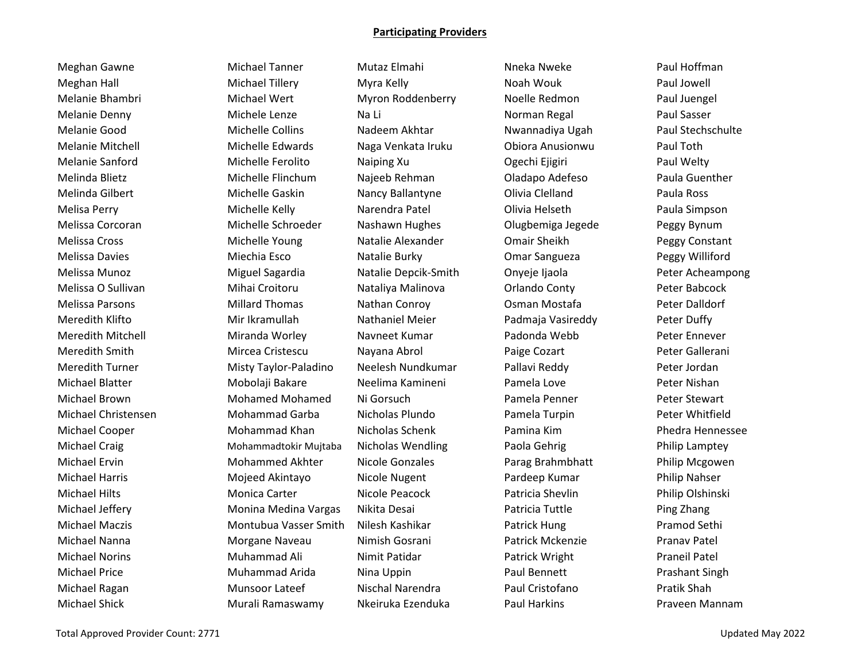Meghan Gawne **Michael Tanner** Mutaz Elmahi Nueka Nweke Paul Hoffman Meghan Hall **Michael Tillery** Myra Kelly Moah Wouk Paul Jowell Melanie Bhambri Michael Wert Myron Roddenberry Noelle Redmon Paul Juengel Melanie Denny **Michele Lenze** Na Li Na Li Norman Regal Paul Sasser Melanie Good Michelle Collins Nadeem Akhtar Nwannadiya Ugah Paul Stechschulte Melanie Mitchell Michelle Edwards Naga Venkata Iruku Obiora Anusionwu Paul Toth Melanie Sanford **Michelle Ferolito** Maiping Xu Calechi Ejigiri Paul Welty Melinda Blietz Michelle Flinchum Najeeb Rehman Oladapo Adefeso Paula Guenther Melinda Gilbert Michelle Gaskin Nancy Ballantyne Olivia Clelland Paula Ross Melisa Perry **Michelle Kelly** Narendra Patel **National Paula Simpson** Nelisa Perry Paula Simpson Melissa Corcoran Michelle Schroeder Nashawn Hughes Olugbemiga Jegede Peggy Bynum Melissa Cross Michelle Young Natalie Alexander Omair Sheikh Peggy Constant Melissa Davies **Michia Esco** Natalie Burky **Omar Sangueza** Peggy Williford Peggy Williford Melissa Munoz Miguel Sagardia Natalie Depcik-Smith Onyeje Ijaola Peter Acheampong Melissa O Sullivan Mihai Croitoru Nataliya Malinova Orlando Conty Peter Babcock Melissa Parsons **Millard Thomas** Nathan Conroy **Coman Mostafa** Peter Dalldorf Meredith Klifto Mir Ikramullah Nathaniel Meier Padmaja Vasireddy Peter Duffy Meredith Mitchell Miranda Worley Navneet Kumar Padonda Webb Peter Ennever Meredith Smith **Mircea Cristescu** Nayana Abrol Paige Cozart Peter Gallerani Meredith Turner Misty Taylor-Paladino Neelesh Nundkumar Pallavi Reddy Peter Jordan Michael Blatter **Mobolaji Bakare** Neelima Kamineni Pamela Love Peter Nishan Michael Brown Mohamed Mohamed Ni Gorsuch Pamela Penner Peter Stewart Michael Christensen Mohammad Garba Nicholas Plundo Pamela Turpin Peter Whitfield Michael Cooper **Mohammad Khan** Nicholas Schenk Pamina Kim Pamina Kim Phedra Hennessee Michael Craig **Mohammadtokir Mujtaba** Nicholas Wendling Paola Gehrig Philip Lamptey Michael Ervin **Muchammed Akhter** Nicole Gonzales Parag Brahmbhatt Philip Mcgowen Michael Harris **Mojeed Akintayo** Nicole Nugent Pardeep Kumar Philip Nahser Michael Hilts **Mullican Carter** Nicole Peacock Patricia Shevlin Philip Olshinski Philip Olshinski Michael Jeffery **Monina Medina Vargas** Nikita Desai Patricia Tuttle Ping Zhang Michael Maczis Montubua Vasser Smith Nilesh Kashikar Patrick Hung Pramod Sethi Michael Nanna Morgane Naveau Nimish Gosrani Patrick Mckenzie Pranav Patel Michael Norins **Muhammad Ali** Nimit Patidar **Nimit Patidar** Patrick Wright Praneil Patel Michael Price **Muhammad Arida** Nina Uppin Paul Bennett **Prashant Singh** Prashant Singh Michael Ragan Nischal Munsoor Lateef Nischal Narendra Paul Cristofano Pratik Shah Michael Shick Murali Ramaswamy Nkeiruka Ezenduka Paul Harkins Praveen Mannam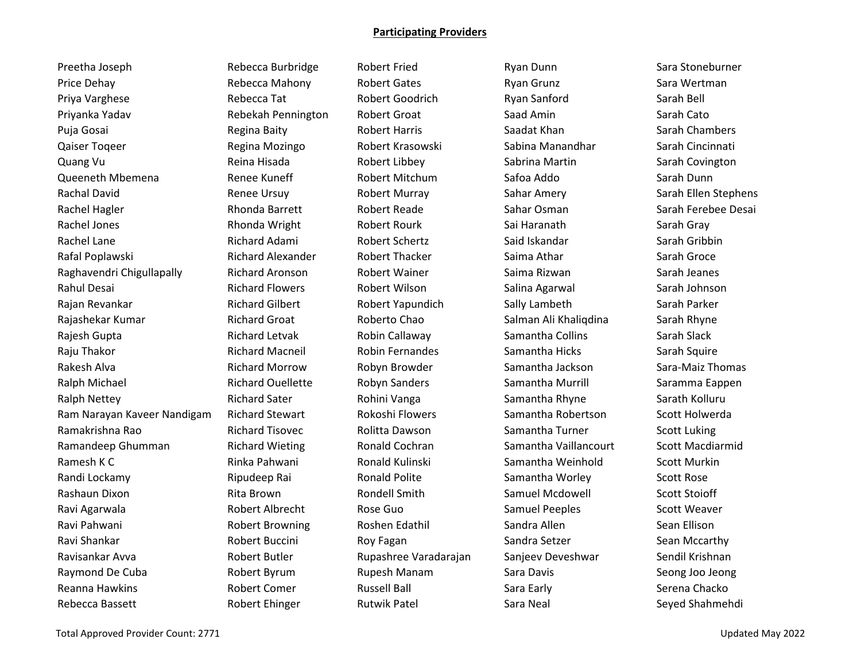Preetha Joseph **Rebecca Burbridge** Robert Fried Ryan Dunn Sara Stoneburner Price Dehay **Rebecca Mahony** Robert Gates Ryan Grunz Sara Wertman Priya Varghese **Rebecca Tat** Rebecca Tat Robert Goodrich Ryan Sanford Sarah Bell Priyanka Yadav Rebekah Pennington Robert Groat Saad Amin Sarah Cato Puja Gosai Regina Baity Robert Harris Saadat Khan Sarah Chambers Qaiser Toqeer **Regina Mozingo** Robert Krasowski Sabina Manandhar Sarah Cincinnati Quang Vu **Reina Hisada** Robert Libbey Sabrina Martin Sarah Covington Queeneth Mbemena Renee Kuneff Robert Mitchum Safoa Addo Sarah Dunn Rachal David **Renee Ursuy Robert Murray** Sahar Amery Sanah Ellen Stephens Rachel Hagler **Rhonda Barrett** Robert Reade Sahar Osman Saman Sarah Ferebee Desai Rachel Jones **Rhonda Wright** Robert Rourk Sai Haranath Sarah Gray Rachel Lane **Richard Adami** Robert Schertz Said Iskandar Said Iskandar Sarah Gribbin Rafal Poplawski Karah Groce Richard Alexander Robert Thacker Saima Athar Sarah Groce Sarah Groce Raghavendri Chigullapally **Richard Aronson** Robert Wainer Saima Rizwan Sarah Jeanes Rahul Desai New Sarah Johnson Richard Flowers Netwilson Robert Wilson Salina Agarwal Sarah Johnson Rajan Revankar **Richard Gilbert** Robert Yapundich Sally Lambeth Sarah Parker Rajashekar Kumar Richard Groat Roberto Chao Salman Ali Khaliqdina Sarah Rhyne Rajesh Gupta Namanta Andrew Richard Letvak Robin Callaway Samantha Collins Sarah Slack Raju Thakor **Raju Thakor Richard Macneil** Robin Fernandes Samantha Hicks Sarah Squire Rakesh Alva **Richard Morrow Robyn Browder** Samantha Jackson Sara-Maiz Thomas Ralph Michael **Richard Ouellette** Robyn Sanders Samantha Murrill Saramma Eappen Ralph Nettey **Richard Sater** Rohini Vanga Samantha Rhyne Sarath Kolluru Ram Narayan Kaveer Nandigam Richard Stewart Rokoshi Flowers Samantha Robertson Scott Holwerda Ramakrishna Rao **Richard Tisovec** Rolitta Dawson Samantha Turner Scott Luking Ramandeep Ghumman **Richard Wieting Collamand Cochran** Samantha Vaillancourt Scott Macdiarmid Ramesh K C **China Bahwani** Rinka Pahwani Ronald Kulinski Samantha Weinhold Scott Murkin Randi Lockamy **Ripudeep Rai** Ronald Polite Samantha Worley Scott Rose Rashaun Dixon **Rita Brown** Rita Brown Rondell Smith Samuel Mcdowell Scott Stoioff Ravi Agarwala **Ravi Albrecht** Rose Guo **Camuel Peeples** Scott Weaver Ravi Pahwani Robert Browning Roshen Edathil Sandra Allen Sean Ellison Ravi Shankar Robert Buccini Roy Fagan Sandra Setzer Sean Mccarthy Ravisankar Avva Robert Butler Rupashree Varadarajan Sanjeev Deveshwar Sendil Krishnan Raymond De Cuba **Robert Byrum** Rupesh Manam Sara Davis Seong Joo Jeong Joo Jeong Seong Joo Jeong Seong Joo Jeong Reanna Hawkins **Rich Comet Comer** Russell Ball **Russell Ball Sara Early Serena Chacko** Serena Chacko Rebecca Bassett **Robert Ehinger** Rutwik Patel Sara Neal Sara Neal Seyed Shahmehdi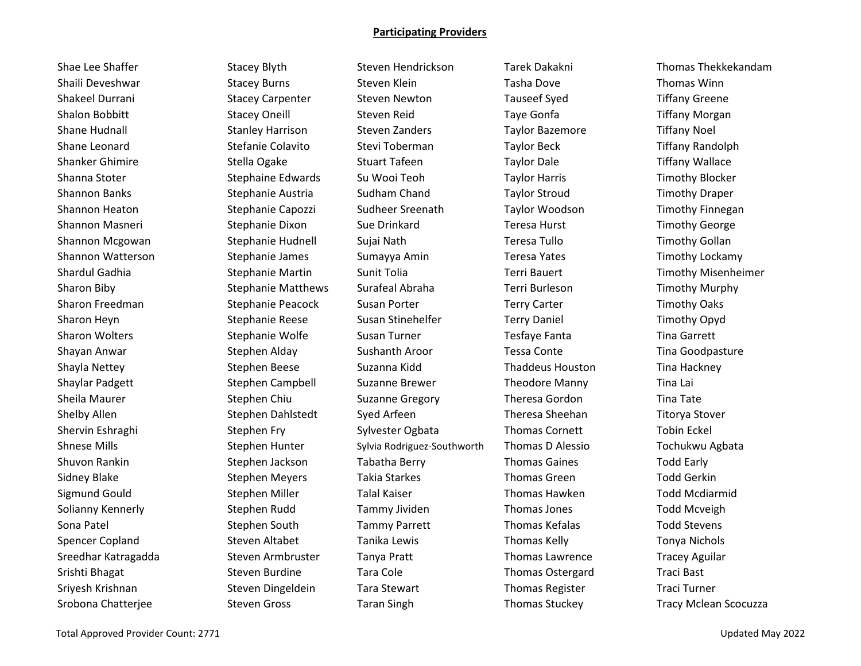Shae Lee Shaffer Stacey Blyth Steven Hendrickson Tarek Dakakni Thomas Thekkekandam Shaili Deveshwar **Stacey Burns** Steven Klein **Steven Klein** Tasha Dove Thomas Winn Shakeel Durrani Stacey Carpenter Steven Newton Tauseef Syed Tiffany Greene Shalon Bobbitt **Stacey Oneill** Steven Reid Taye Gonfa Tiffany Morgan Shane Hudnall Stanley Harrison Steven Zanders Taylor Bazemore Tiffany Noel Shane Leonard **Stefanie Colavito** Stevi Toberman Taylor Beck Tiffany Randolph Shanker Ghimire Stella Ogake Stuart Tafeen Taylor Dale Stuart Tafour Dale Stuart Tiffany Wallace Shanna Stoter Stephaine Edwards Su Wooi Teoh Taylor Harris Timothy Blocker Shannon Banks Summanny Stephanie Austria Sudham Chand Taylor Stroud Timothy Draper Shannon Heaton Sudheer Stephanie Capozzi Sudheer Sreenath Taylor Woodson Timothy Finnegan Shannon Masneri Stephanie Dixon Sue Drinkard Teresa Hurst Timothy George Channon Masneri Shannon Mcgowan **Stephanie Hudnell** Sujai Nath Teresa Tullo Timothy Gollan Shannon Watterson Stephanie James Sumayya Amin Teresa Yates Timothy Lockamy Sharon Biby Stephanie Matthews Surafeal Abraha Terri Burleson Timothy Murphy Sharon Freedman Stephanie Peacock Susan Porter Terry Carter Terry Carter Timothy Oaks Sharon Heyn **Stephanie Reese** Susan Stinehelfer Terry Daniel Tennes Timothy Opyd Sharon Wolters **Stephanie Wolfe** Susan Turner Tesfaye Fanta Tina Garrett Shayan Anwar **Stephen Alday** Sushanth Aroor Tessa Conte Tina Goodpasture Tina Goodpasture Shayla Nettey **Summan Stephen Beese** Suzanna Kidd **Shayla Nettey Thaddeus Houston** Tina Hackney Shaylar Padgett **Stephen Campbell** Suzanne Brewer **Suzanne Theodore Manny Tina Lai** Sheila Maurer **Shere Stephen Chiu** Suzanne Gregory **Sheila Maurer Stephen Chiu Suzanne Gregory** Theresa Gordon Tina Tate Shelby Allen Summan Stephen Dahlstedt Syed Arfeen Theresa Sheehan Titorya Stover Shervin Eshraghi Stephen Fry Sylvester Ogbata Thomas Cornett Tobin Eckel Shnese Mills Stephen Hunter Sylvia Rodriguez-Southworth Thomas D Alessio Tochukwu Agbata Shuvon Rankin Stephen Jackson Tabatha Berry Thomas Gaines Todd Early Stephen Jackson Tabatha Berry Thomas Gaines Sidney Blake Stephen Meyers Takia Starkes Thomas Green Todd Gerkin Sigmund Gould **Stephen Miller** Talal Kaiser **Thomas Hawken** Todd Mcdiarmid Solianny Kennerly **Stephen Rudd** Tammy Jividen Thomas Jones Todd Mcveigh Sona Patel **Subsett Concerned Stephen South Tammy Parrett** Thomas Kefalas Todd Stevens Spencer Copland Steven Altabet Tanika Lewis Thomas Kelly Tonya Nichols Company Controlls Sreedhar Katragadda Steven Armbruster Tanya Pratt Thomas Lawrence Tracey Aguilar Srishti Bhagat **Steven Burdine** Tara Cole Thomas Ostergard Traci Bast Sriyesh Krishnan Steven Dingeldein Tara Stewart Thomas Register Traci Turner Traci Turner Srobona Chatterjee Steven Gross Taran Singh Thomas Stuckey Tracy Mclean Scocuzza

Shardul Gadhia **Stephanie Martin Sunit Tolia** Terri Bauert Timothy Misenheimer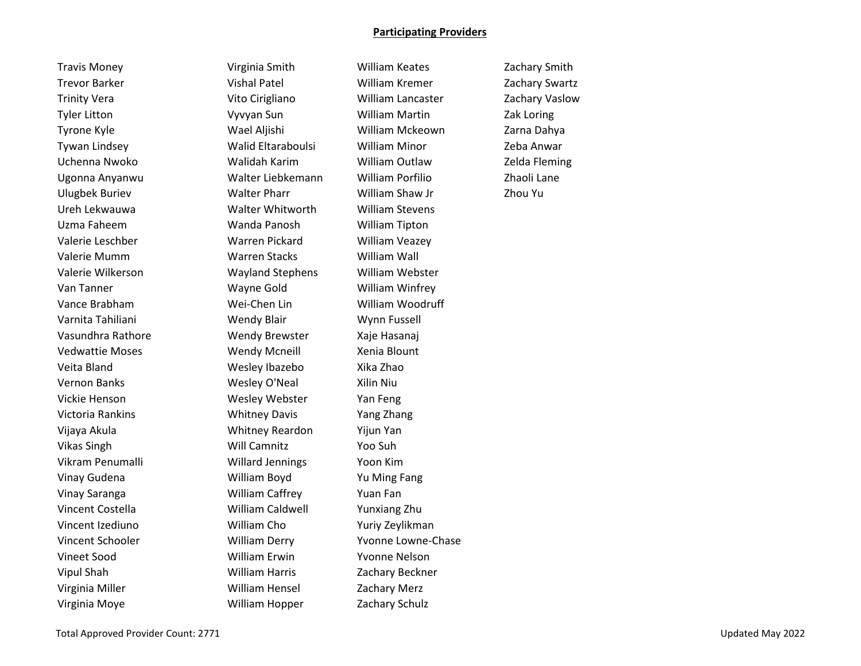Trevor Barker Vishal Patel William Kremer Zachary Swartz Trinity Vera Vito Cirigliano William Lancaster Zachary Vaslow Tyler Litton Vyvyan Sun William Martin Zak Loring Valerie Mumm Warren Stacks William Wall Valerie Wilkerson Wayland Stephens William Webster Van Tanner Wayne Gold William Winfrey Varnita Tahiliani Wendy Blair Wynn Fussell Vedwattie Moses **Wendy Mcneill** Xenia Blount Vernon Banks Wesley O'Neal Xilin Niu Vickie Henson Wesley Webster Yan Feng Victoria Rankins Whitney Davis Yang Zhang Vincent Schooler William Derry Yvonne Lowne-Chase Vineet Sood William Erwin Yvonne Nelson

Travis Money Virginia Smith William Keates Zachary Smith Tyrone Kyle Wael Aljishi William Mckeown Zarna Dahya Tywan Lindsey Walid Eltaraboulsi William Minor Zeba Anwar Uchenna Nwoko Walidah Karim William Outlaw Zelda Fleming Ugonna Anyanwu Walter Liebkemann William Porfilio Zhaoli Lane Ulugbek Buriev Walter Pharr William Shaw Jr Zhou Yu Ureh Lekwauwa Walter Whitworth William Stevens Uzma Faheem Wanda Panosh William Tipton Valerie Leschber Warren Pickard William Veazey Vance Brabham Wei-Chen Lin William Woodruff Vasundhra Rathore Wendy Brewster Xaje Hasanaj Veita Bland Wesley Ibazebo Xika Zhao Vijaya Akula Whitney Reardon Yijun Yan Vikas Singh Will Camnitz Yoo Suh Vikram Penumalli Willard Jennings Yoon Kim Vinay Gudena William Boyd Yu Ming Fang Vinay Saranga William Caffrey Yuan Fan Vincent Costella William Caldwell Yunxiang Zhu Vincent Izediuno William Cho Yuriy Zeylikman Vipul Shah William Harris Zachary Beckner Virginia Miller William Hensel Zachary Merz Virginia Moye William Hopper Zachary Schulz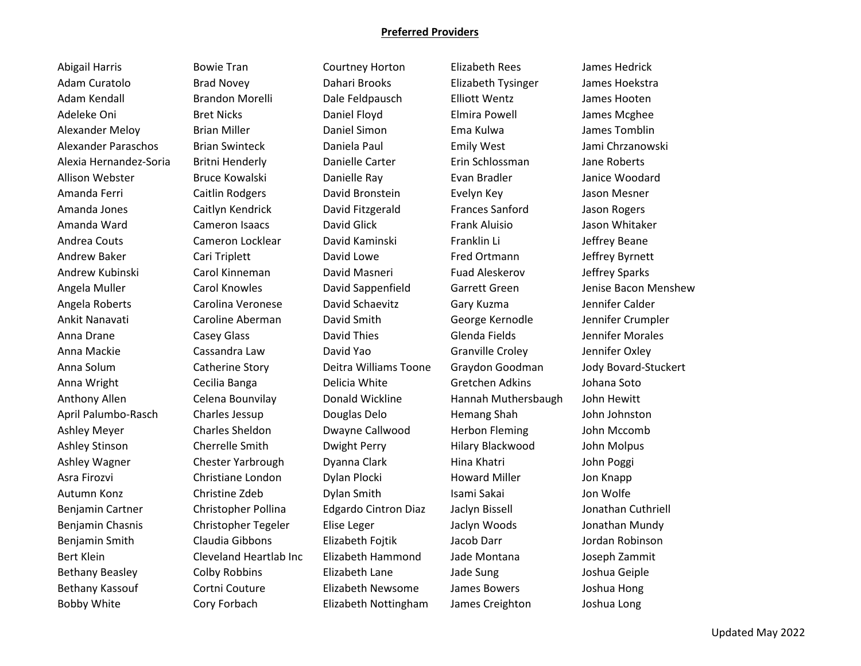#### **Preferred Providers**

Adam Curatolo Brad Novey Dahari Brooks Elizabeth Tysinger James Hoekstra Adam Kendall Brandon Morelli Dale Feldpausch Elliott Wentz James Hooten Adeleke Oni **Bret Nicks Coning Contact Control** Daniel Floyd **Control Control Control Control Control** Daniel Floyd Alexander Meloy Brian Miller Daniel Simon Ema Kulwa James Tomblin Alexander Paraschos Brian Swinteck Daniela Paul Emily West Jami Chrzanowski Alexia Hernandez-Soria Britni Henderly Danielle Carter Erin Schlossman Jane Roberts Allison Webster **Bruce Kowalski** Danielle Ray **Evan Bradler** Janice Woodard Amanda Ferri Caitlin Rodgers David Bronstein Evelyn Key Jason Mesner Amanda Jones Caitlyn Kendrick David Fitzgerald Frances Sanford Jason Rogers Amanda Ward **Cameron Isaacs Cameron Isaacs** David Glick **Frank Aluisio** Jason Whitaker Andrea Couts Cameron Locklear David Kaminski Franklin Li Jeffrey Beane Andrew Baker **Cari Triplett** David Lowe **Fred Ortmann** Jeffrey Byrnett Andrew Kubinski Carol Kinneman David Masneri Fuad Aleskerov Jeffrey Sparks Angela Muller **Carol Knowles** David Sappenfield Garrett Green Jenise Bacon Menshew Angela Roberts Carolina Veronese David Schaevitz Gary Kuzma Jennifer Calder Ankit Nanavati Caroline Aberman David Smith George Kernodle Jennifer Crumpler Anna Drane **Casey Glass** David Thies Glenda Fields Jennifer Morales Anna Mackie Cassandra Law David Yao Granville Croley Jennifer Oxley Anna Solum Catherine Story Deitra Williams Toone Graydon Goodman Jody Bovard-Stuckert Anna Wright **Cecilia Banga** Delicia White Gretchen Adkins Johana Soto Anthony Allen Celena Bounvilay Donald Wickline Hannah Muthersbaugh John Hewitt April Palumbo-Rasch Charles Jessup Douglas Delo Hemang Shah John Johnston Ashley Meyer Charles Sheldon Dwayne Callwood Herbon Fleming John Mccomb Ashley Stinson **Cherrelle Smith** Dwight Perry Hilary Blackwood John Molpus Ashley Wagner Chester Yarbrough Dyanna Clark Hina Khatri John Poggi Asra Firozvi **Christiane London** Dylan Plocki Howard Miller Jon Knapp Autumn Konz **Christine Zdeb** Dylan Smith Isami Sakai Jon Wolfe Benjamin Cartner Christopher Pollina Edgardo Cintron Diaz Jaclyn Bissell Jonathan Cuthriell Benjamin Chasnis Christopher Tegeler Elise Leger Jaclyn Woods Jonathan Mundy Benjamin Smith Claudia Gibbons Elizabeth Fojtik Jacob Darr Jordan Robinson Bert Klein Cleveland Heartlab Inc Elizabeth Hammond Jade Montana Joseph Zammit Bethany Beasley Colby Robbins Elizabeth Lane Jade Sung Joshua Geiple Bethany Kassouf Cortni Couture Elizabeth Newsome James Bowers Joshua Hong Bobby White Cory Forbach Elizabeth Nottingham James Creighton Joshua Long

Abigail Harris **Elizabeth Rees** James Hedrick Bowie Tran Courtney Horton Elizabeth Rees James Hedrick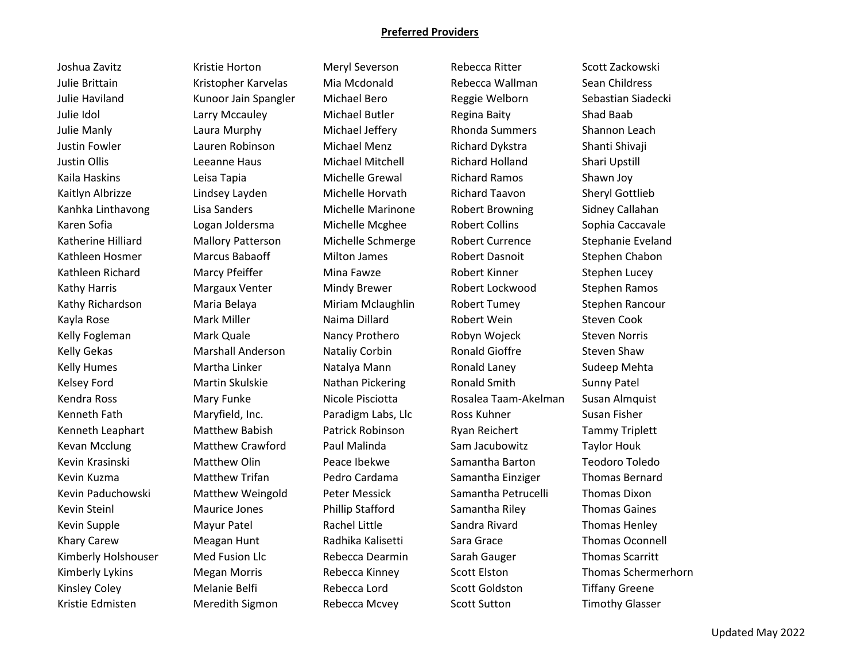### **Preferred Providers**

Julie Brittain Kristopher Karvelas Mia Mcdonald Rebecca Wallman Sean Childress Julie Haviland Kunoor Jain Spangler Michael Bero Reggie Welborn Sebastian Siadecki Julie Idol **Larry Mccauley** Michael Butler Regina Baity Shad Baab Shad Baab Julie Manly Laura Murphy Michael Jeffery Rhonda Summers Shannon Leach Justin Fowler Lauren Robinson Michael Menz Richard Dykstra Shanti Shivaji Kaila Haskins Leisa Tapia Michelle Grewal Richard Ramos Shawn Joy Kaitlyn Albrizze **Lindsey Layden** Michelle Horvath Richard Taavon Sheryl Gottlieb Kanhka Linthavong Lisa Sanders Michelle Marinone Robert Browning Sidney Callahan Karen Sofia **Logan Joldersma** Michelle Mcghee Robert Collins Sophia Caccavale Katherine Hilliard Mallory Patterson Michelle Schmerge Robert Currence Stephanie Eveland Kathleen Hosmer **Marcus Babaoff** Milton James Robert Dasnoit Stephen Chabon Kathy Harris **Margaux Venter** Mindy Brewer Robert Lockwood Stephen Ramos Kathy Richardson **Maria Belaya** Miriam Mclaughlin Robert Tumey Stephen Rancour Kelly Fogleman **Mark Quale Nancy Prothero** Robyn Wojeck Steven Norris Kelly Gekas **Marshall Anderson** Nataliy Corbin **Ronald Gioffre** Steven Shaw Kelsey Ford **Martin Skulskie Nathan Pickering School** Smith Sunny Patel Kendra Ross **Mary Funke** Nicole Pisciotta Rosalea Taam-Akelman Susan Almquist Kenneth Fath **Maryfield, Inc.** Paradigm Labs, Llc Ross Kuhner Susan Fisher Cusan Fisher Kenneth Leaphart Matthew Babish Patrick Robinson Ryan Reichert Tammy Triplett Kevan Mcclung **Matthew Crawford** Paul Malinda Sam Jacubowitz Taylor Houk Kevin Kuzma **Matthew Trifan** Pedro Cardama Samantha Einziger Thomas Bernard Kevin Paduchowski Matthew Weingold Peter Messick Samantha Petrucelli Thomas Dixon Kevin Steinl Maurice Jones Phillip Stafford Samantha Riley Thomas Gaines Kimberly Holshouser and Fusion Llc Rebecca Dearmin Sarah Gauger Thomas Scarritt

Joshua Zavitz Kristie Horton Meryl Severson Rebecca Ritter Scott Zackowski Justin Ollis Leeanne Haus Michael Mitchell Richard Holland Shari Upstill Kathleen Richard Marcy Pfeiffer Mina Fawze Robert Kinner Stephen Lucey Kayla Rose **Mark Miller** Naima Dillard **National Robert Wein** Steven Cook Kelly Humes **Martha Linker** Natalya Mann **Natalya Mann** Ronald Laney Sudeep Mehta Kevin Krasinski Matthew Olin Peace Ibekwe Samantha Barton Teodoro Toledo Kevin Supple **Mayur Patel** Rachel Little Sandra Rivard Thomas Henley Revin Supple Khary Carew **Meagan Hunt** Radhika Kalisetti Sara Grace Thomas Oconnell Kinsley Coley **Melanie Belfi** Rebecca Lord Scott Goldston Tiffany Greene

Kristie Edmisten **Meredith Sigmon** Rebecca Mcvey Scott Sutton Timothy Glasser

Kimberly Lykins **Megan Morris** Rebecca Kinney Scott Elston Thomas Schermerhorn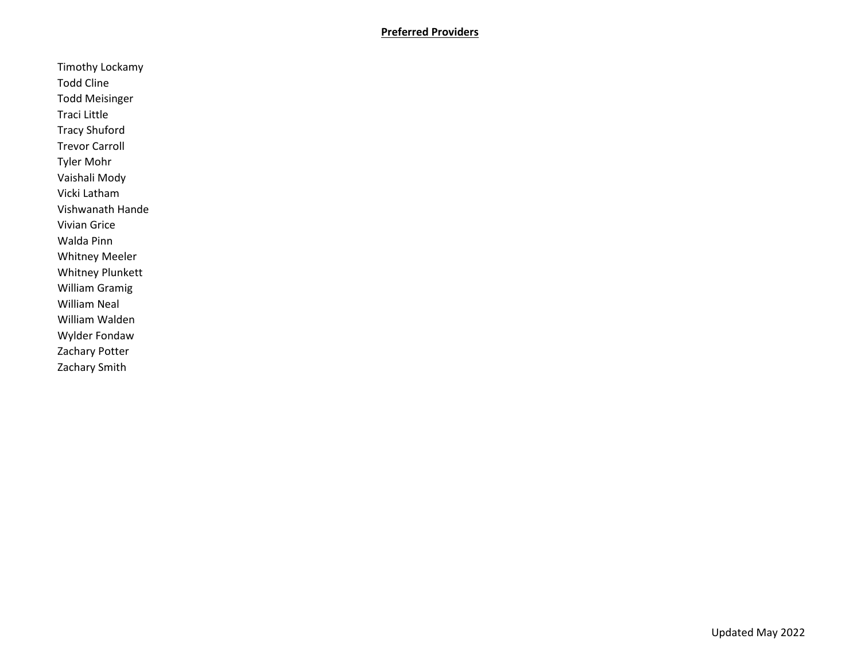# **Preferred Providers**

Timothy Lockamy Todd Cline Todd Meisinger Traci Little Tracy Shuford Trevor Carroll Tyler Mohr Vaishali Mody Vicki Latham Vishwanath Hande Vivian Grice Walda Pinn Whitney Meeler Whitney Plunkett William Gramig William Neal William Walden Wylder Fondaw Zachary Potter Zachary Smith